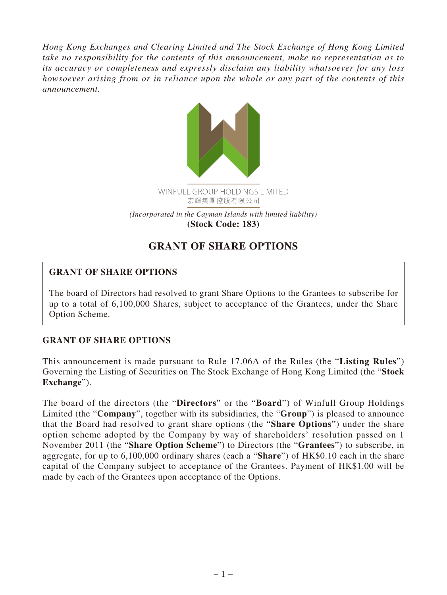*Hong Kong Exchanges and Clearing Limited and The Stock Exchange of Hong Kong Limited take no responsibility for the contents of this announcement, make no representation as to its accuracy or completeness and expressly disclaim any liability whatsoever for any loss howsoever arising from or in reliance upon the whole or any part of the contents of this announcement.*



## **GRANT OF SHARE OPTIONS**

## **GRANT OF SHARE OPTIONS**

The board of Directors had resolved to grant Share Options to the Grantees to subscribe for up to a total of 6,100,000 Shares, subject to acceptance of the Grantees, under the Share Option Scheme.

## **GRANT OF SHARE OPTIONS**

This announcement is made pursuant to Rule 17.06A of the Rules (the "**Listing Rules**") Governing the Listing of Securities on The Stock Exchange of Hong Kong Limited (the "**Stock Exchange**").

The board of the directors (the "**Directors**" or the "**Board**") of Winfull Group Holdings Limited (the "**Company**", together with its subsidiaries, the "**Group**") is pleased to announce that the Board had resolved to grant share options (the "**Share Options**") under the share option scheme adopted by the Company by way of shareholders' resolution passed on 1 November 2011 (the "**Share Option Scheme**") to Directors (the "**Grantees**") to subscribe, in aggregate, for up to 6,100,000 ordinary shares (each a "**Share**") of HK\$0.10 each in the share capital of the Company subject to acceptance of the Grantees. Payment of HK\$1.00 will be made by each of the Grantees upon acceptance of the Options.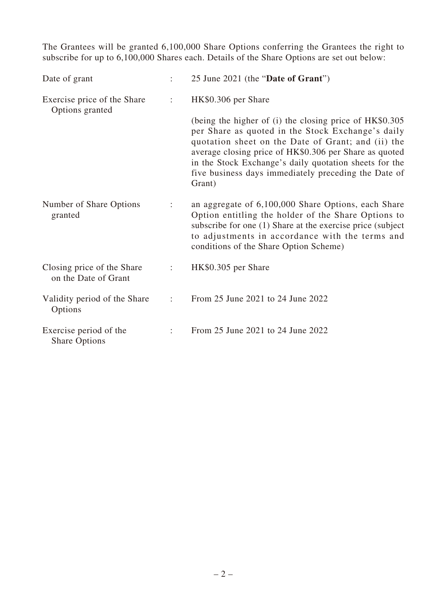The Grantees will be granted 6,100,000 Share Options conferring the Grantees the right to subscribe for up to 6,100,000 Shares each. Details of the Share Options are set out below:

| Date of grant                                      |                      | 25 June 2021 (the "Date of Grant")                                                                                                                                                                                                                                                                                                                       |
|----------------------------------------------------|----------------------|----------------------------------------------------------------------------------------------------------------------------------------------------------------------------------------------------------------------------------------------------------------------------------------------------------------------------------------------------------|
| Exercise price of the Share<br>Options granted     | ÷                    | HK\$0.306 per Share                                                                                                                                                                                                                                                                                                                                      |
|                                                    |                      | (being the higher of (i) the closing price of HK\$0.305<br>per Share as quoted in the Stock Exchange's daily<br>quotation sheet on the Date of Grant; and (ii) the<br>average closing price of HK\$0.306 per Share as quoted<br>in the Stock Exchange's daily quotation sheets for the<br>five business days immediately preceding the Date of<br>Grant) |
| Number of Share Options<br>granted                 | ÷                    | an aggregate of 6,100,000 Share Options, each Share<br>Option entitling the holder of the Share Options to<br>subscribe for one (1) Share at the exercise price (subject<br>to adjustments in accordance with the terms and<br>conditions of the Share Option Scheme)                                                                                    |
| Closing price of the Share<br>on the Date of Grant | ÷                    | HK\$0.305 per Share                                                                                                                                                                                                                                                                                                                                      |
| Validity period of the Share<br>Options            | $\ddot{\phantom{a}}$ | From 25 June 2021 to 24 June 2022                                                                                                                                                                                                                                                                                                                        |
| Exercise period of the<br><b>Share Options</b>     |                      | From 25 June 2021 to 24 June 2022                                                                                                                                                                                                                                                                                                                        |